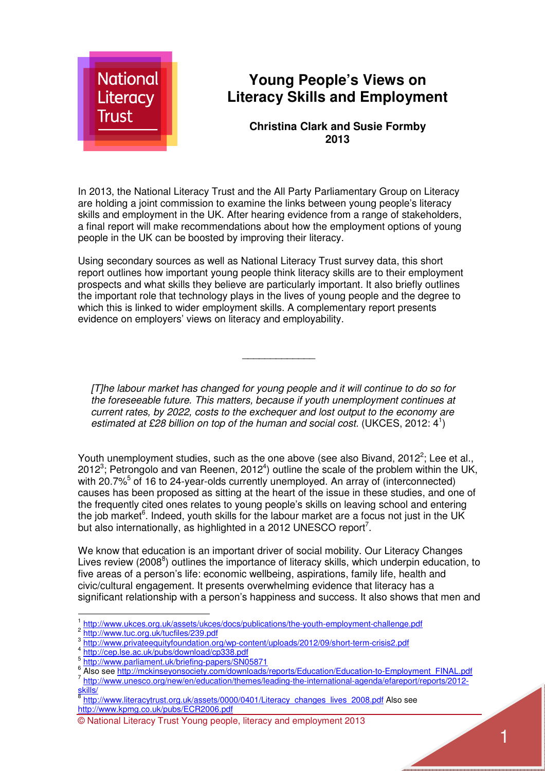

# **Young People's Views on Literacy Skills and Employment**

#### **Christina Clark and Susie Formby 2013**

In 2013, the National Literacy Trust and the All Party Parliamentary Group on Literacy are holding a joint commission to examine the links between young people's literacy skills and employment in the UK. After hearing evidence from a range of stakeholders, a final report will make recommendations about how the employment options of young people in the UK can be boosted by improving their literacy.

Using secondary sources as well as National Literacy Trust survey data, this short report outlines how important young people think literacy skills are to their employment prospects and what skills they believe are particularly important. It also briefly outlines the important role that technology plays in the lives of young people and the degree to which this is linked to wider employment skills. A complementary report presents evidence on employers' views on literacy and employability.

*[T]he labour market has changed for young people and it will continue to do so for the foreseeable future. This matters, because if youth unemployment continues at current rates, by 2022, costs to the exchequer and lost output to the economy are*  estimated at £28 billion on top of the human and social cost. (UKCES, 2012: 4<sup>1</sup>)

*\_\_\_\_\_\_\_\_\_\_\_\_\_* 

Youth unemployment studies, such as the one above (see also Bivand, 2012<sup>2</sup>; Lee et al., 2012<sup>3</sup>; Petrongolo and van Reenen, 2012<sup>4</sup>) outline the scale of the problem within the UK, with 20.7%<sup>5</sup> of 16 to 24-year-olds currently unemployed. An array of (interconnected) causes has been proposed as sitting at the heart of the issue in these studies, and one of the frequently cited ones relates to young people's skills on leaving school and entering the job market<sup>6</sup>. Indeed, youth skills for the labour market are a focus not just in the UK but also internationally, as highlighted in a 2012 UNESCO report<sup>7</sup>.

We know that education is an important driver of social mobility. Our Literacy Changes Lives review (2008<sup>8</sup>) outlines the importance of literacy skills, which underpin education, to five areas of a person's life: economic wellbeing, aspirations, family life, health and civic/cultural engagement. It presents overwhelming evidence that literacy has a significant relationship with a person's happiness and success. It also shows that men and

l.

4 http://cep.lse.ac.uk/pubs/download/cp338.pdf

<sup>1</sup> http://www.ukces.org.uk/assets/ukces/docs/publications/the-youth-employment-challenge.pdf

<sup>2</sup> http://www.tuc.org.uk/tucfiles/239.pdf

<sup>3</sup> http://www.privateequityfoundation.org/wp-content/uploads/2012/09/short-term-crisis2.pdf

<sup>&</sup>lt;sup>5</sup><br>http://www.parliament.uk/briefing-papers/SN05871<br><sup>6</sup> Also see http://makineeyeneesisty.com/downleade

Also see http://mckinseyonsociety.com/downloads/reports/Education/Education-to-Employment\_FINAL.pdf

<sup>7</sup> http://www.unesco.org/new/en/education/themes/leading-the-international-agenda/efareport/reports/2012 skills/

<sup>8</sup> http://www.literacytrust.org.uk/assets/0000/0401/Literacy\_changes\_lives\_2008.pdf Also see http://www.kpmg.co.uk/pubs/ECR2006.pdf

<sup>©</sup> National Literacy Trust Young people, literacy and employment 2013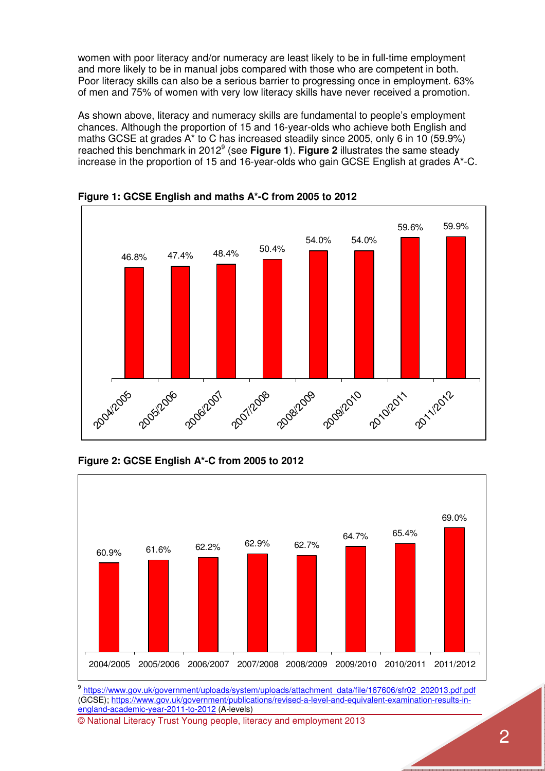women with poor literacy and/or numeracy are least likely to be in full-time employment and more likely to be in manual jobs compared with those who are competent in both. Poor literacy skills can also be a serious barrier to progressing once in employment. 63% of men and 75% of women with very low literacy skills have never received a promotion.

As shown above, literacy and numeracy skills are fundamental to people's employment chances. Although the proportion of 15 and 16-year-olds who achieve both English and maths GCSE at grades A\* to C has increased steadily since 2005, only 6 in 10 (59.9%) reached this benchmark in 2012<sup>9</sup> (see Figure 1). Figure 2 illustrates the same steady increase in the proportion of 15 and 16-year-olds who gain GCSE English at grades A\*-C.



**Figure 1: GCSE English and maths A\*-C from 2005 to 2012** 

**Figure 2: GCSE English A\*-C from 2005 to 2012** 



(GCSE); https://www.gov.uk/government/publications/revised-a-level-and-equivalent-examination-results-inengland-academic-year-2011-to-2012 (A-levels)

© National Literacy Trust Young people, literacy and employment 2013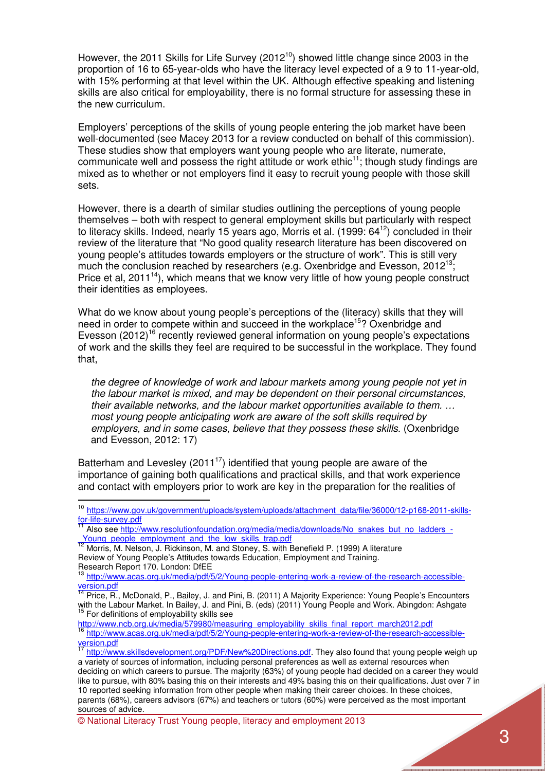However, the 2011 Skills for Life Survey (2012 $10$ ) showed little change since 2003 in the proportion of 16 to 65-year-olds who have the literacy level expected of a 9 to 11-year-old, with 15% performing at that level within the UK. Although effective speaking and listening skills are also critical for employability, there is no formal structure for assessing these in the new curriculum.

Employers' perceptions of the skills of young people entering the job market have been well-documented (see Macey 2013 for a review conducted on behalf of this commission). These studies show that employers want young people who are literate, numerate, communicate well and possess the right attitude or work ethic<sup>11</sup>; though study findings are mixed as to whether or not employers find it easy to recruit young people with those skill sets.

However, there is a dearth of similar studies outlining the perceptions of young people themselves – both with respect to general employment skills but particularly with respect to literacy skills. Indeed, nearly 15 years ago, Morris et al. (1999: 64<sup>12</sup>) concluded in their review of the literature that "No good quality research literature has been discovered on young people's attitudes towards employers or the structure of work". This is still very much the conclusion reached by researchers (e.g. Oxenbridge and Evesson,  $2012^{13}$ ; Price et al,  $2011^{14}$ ), which means that we know very little of how young people construct their identities as employees.

What do we know about young people's perceptions of the (literacy) skills that they will need in order to compete within and succeed in the workplace<sup>15</sup>? Oxenbridge and Evesson  $(2012)^{16}$  recently reviewed general information on young people's expectations of work and the skills they feel are required to be successful in the workplace. They found that,

*the degree of knowledge of work and labour markets among young people not yet in the labour market is mixed, and may be dependent on their personal circumstances, their available networks, and the labour market opportunities available to them. … most young people anticipating work are aware of the soft skills required by employers, and in some cases, believe that they possess these skills*. (Oxenbridge and Evesson, 2012: 17)

Batterham and Levesley (2011<sup>17</sup>) identified that young people are aware of the importance of gaining both qualifications and practical skills, and that work experience and contact with employers prior to work are key in the preparation for the realities of

 $\overline{a}$ 

<sup>&</sup>lt;sup>10</sup> https://www.gov.uk/government/uploads/system/uploads/attachment\_data/file/36000/12-p168-2011-skillsfor-life-survey.pdf

Also see http://www.resolutionfoundation.org/media/media/downloads/No\_snakes\_but\_no\_ladders\_-Young people employment and the low skills trap.pdf

<sup>12</sup> Morris, M. Nelson, J. Rickinson, M. and Stoney, S. with Benefield P. (1999) A literature Review of Young People's Attitudes towards Education, Employment and Training. Research Report 170. London: DfEE

<sup>&</sup>lt;sup>13</sup> http://www.acas.org.uk/media/pdf/5/2/Young-people-entering-work-a-review-of-the-research-accessibleversion.pdf

<sup>&</sup>lt;sup>14</sup> Price, R., McDonald, P., Bailey, J. and Pini, B. (2011) A Majority Experience: Young People's Encounters with the Labour Market. In Bailey, J. and Pini, B. (eds) (2011) Young People and Work. Abingdon: Ashgate <sup>15</sup> For definitions of employability skills see

http://www.ncb.org.uk/media/579980/measuring\_employability\_skills\_final\_report\_march2012.pdf

<sup>&</sup>lt;sup>16</sup> http://www.acas.org.uk/media/pdf/5/2/Young-people-entering-work-a-review-of-the-research-accessibleversion.pdf

http://www.skillsdevelopment.org/PDF/New%20Directions.pdf. They also found that young people weigh up a variety of sources of information, including personal preferences as well as external resources when deciding on which careers to pursue. The majority (63%) of young people had decided on a career they would like to pursue, with 80% basing this on their interests and 49% basing this on their qualifications. Just over 7 in 10 reported seeking information from other people when making their career choices. In these choices, parents (68%), careers advisors (67%) and teachers or tutors (60%) were perceived as the most important sources of advice.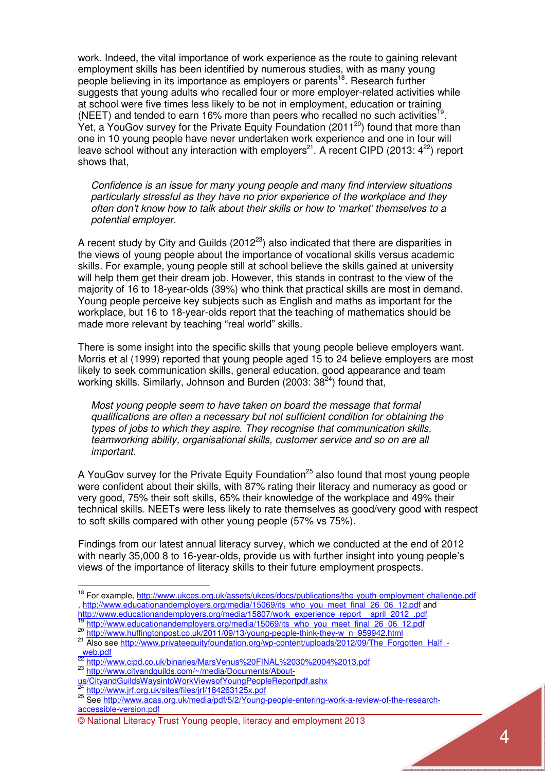work. Indeed, the vital importance of work experience as the route to gaining relevant employment skills has been identified by numerous studies, with as many young people believing in its importance as employers or parents<sup>18</sup>. Research further suggests that young adults who recalled four or more employer-related activities while at school were five times less likely to be not in employment, education or training (NEET) and tended to earn 16% more than peers who recalled no such activities<sup>19</sup>. Yet, a YouGov survey for the Private Equity Foundation (2011<sup>20</sup>) found that more than one in 10 young people have never undertaken work experience and one in four will leave school without any interaction with employers<sup>21</sup>. A recent CIPD (2013:  $4^{22}$ ) report shows that,

*Confidence is an issue for many young people and many find interview situations particularly stressful as they have no prior experience of the workplace and they often don't know how to talk about their skills or how to 'market' themselves to a potential employer.* 

A recent study by City and Guilds (2012<sup>23</sup>) also indicated that there are disparities in the views of young people about the importance of vocational skills versus academic skills. For example, young people still at school believe the skills gained at university will help them get their dream job. However, this stands in contrast to the view of the majority of 16 to 18-year-olds (39%) who think that practical skills are most in demand. Young people perceive key subjects such as English and maths as important for the workplace, but 16 to 18-year-olds report that the teaching of mathematics should be made more relevant by teaching "real world" skills.

There is some insight into the specific skills that young people believe employers want. Morris et al (1999) reported that young people aged 15 to 24 believe employers are most likely to seek communication skills, general education, good appearance and team working skills. Similarly, Johnson and Burden  $(2003:38^{24})$  found that,

*Most young people seem to have taken on board the message that formal qualifications are often a necessary but not sufficient condition for obtaining the types of jobs to which they aspire. They recognise that communication skills, teamworking ability, organisational skills, customer service and so on are all important.* 

A YouGov survey for the Private Equity Foundation<sup>25</sup> also found that most young people were confident about their skills, with 87% rating their literacy and numeracy as good or very good, 75% their soft skills, 65% their knowledge of the workplace and 49% their technical skills. NEETs were less likely to rate themselves as good/very good with respect to soft skills compared with other young people (57% vs 75%).

Findings from our latest annual literacy survey, which we conducted at the end of 2012 with nearly 35,000 8 to 16-year-olds, provide us with further insight into young people's views of the importance of literacy skills to their future employment prospects.

http://www.jrf.org.uk/sites/files/jrf/184263125x.pdf

l.

<sup>&</sup>lt;sup>18</sup> For example, http://www.ukces.org.uk/assets/ukces/docs/publications/the-youth-employment-challenge.pdf http://www.educationandemployers.org/media/15069/its\_who\_you\_meet\_final\_26\_06\_12.pdf and http://www.educationandemployers.org/media/15807/work\_experience\_report\_\_april\_2012\_.pdf

http://www.educationandemployers.org/media/15069/its\_who\_you\_meet\_final\_26\_06\_12.pdf

<sup>20</sup> http://www.huffingtonpost.co.uk/2011/09/13/young-people-think-they-w\_n\_959942.html

<sup>&</sup>lt;sup>21</sup> Also see http://www.privateequityfoundation.org/wp-content/uploads/2012/09/The\_Forgotten\_Half\_-\_web.pdf

<sup>&</sup>lt;sup>22</sup> http://www.cipd.co.uk/binaries/MarsVenus%20FINAL%2030%2004%2013.pdf

<sup>23</sup> http://www.c<u>ityandquilds.com/~/media/Documents/About-</u>

us/CityandGuildsWaysintoWorkViewsofYoungPeopleReportpdf.ashx

<sup>25</sup> See http://www.jh.org.uk/sites/nices/pww.acas.org.uk/media/pdf/5/2/Young-people-entering-work-a-review-of-the-researchaccessible-version.pdf

<sup>©</sup> National Literacy Trust Young people, literacy and employment 2013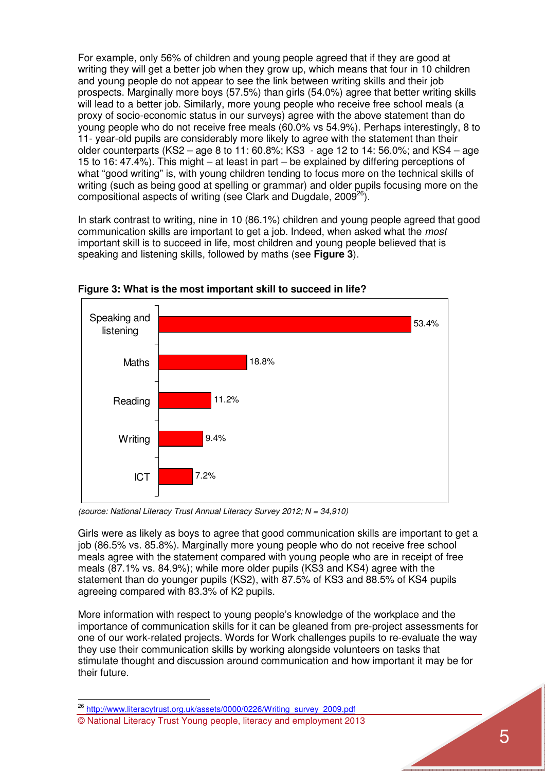For example, only 56% of children and young people agreed that if they are good at writing they will get a better job when they grow up, which means that four in 10 children and young people do not appear to see the link between writing skills and their job prospects. Marginally more boys (57.5%) than girls (54.0%) agree that better writing skills will lead to a better job. Similarly, more young people who receive free school meals (a proxy of socio-economic status in our surveys) agree with the above statement than do young people who do not receive free meals (60.0% vs 54.9%). Perhaps interestingly, 8 to 11- year-old pupils are considerably more likely to agree with the statement than their older counterparts (KS2 – age 8 to 11: 60.8%; KS3 - age 12 to 14: 56.0%; and KS4 – age 15 to 16: 47.4%). This might – at least in part – be explained by differing perceptions of what "good writing" is, with young children tending to focus more on the technical skills of writing (such as being good at spelling or grammar) and older pupils focusing more on the compositional aspects of writing (see Clark and Dugdale, 2009<sup>26</sup>).

In stark contrast to writing, nine in 10 (86.1%) children and young people agreed that good communication skills are important to get a job. Indeed, when asked what the *most* important skill is to succeed in life, most children and young people believed that is speaking and listening skills, followed by maths (see **Figure 3**).



**Figure 3: What is the most important skill to succeed in life?** 

*(source: National Literacy Trust Annual Literacy Survey 2012; N = 34,910)* 

Girls were as likely as boys to agree that good communication skills are important to get a job (86.5% vs. 85.8%). Marginally more young people who do not receive free school meals agree with the statement compared with young people who are in receipt of free meals (87.1% vs. 84.9%); while more older pupils (KS3 and KS4) agree with the statement than do younger pupils (KS2), with 87.5% of KS3 and 88.5% of KS4 pupils agreeing compared with 83.3% of K2 pupils.

More information with respect to young people's knowledge of the workplace and the importance of communication skills for it can be gleaned from pre-project assessments for one of our work-related projects. Words for Work challenges pupils to re-evaluate the way they use their communication skills by working alongside volunteers on tasks that stimulate thought and discussion around communication and how important it may be for their future.

© National Literacy Trust Young people, literacy and employment 2013 <sup>26</sup> http://www.literacytrust.org.uk/assets/0000/0226/Writing\_survey\_2009.pdf

 $\overline{a}$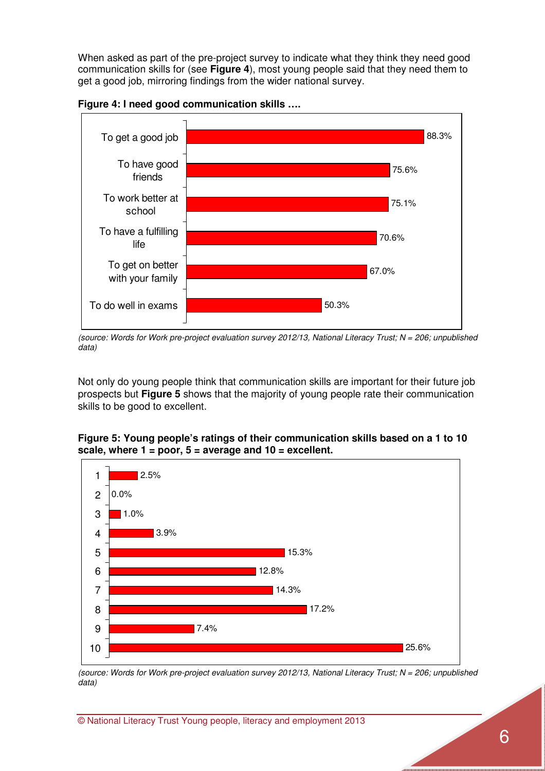When asked as part of the pre-project survey to indicate what they think they need good communication skills for (see **Figure 4**), most young people said that they need them to get a good job, mirroring findings from the wider national survey.



**Figure 4: I need good communication skills ….** 

Not only do young people think that communication skills are important for their future job prospects but **Figure 5** shows that the majority of young people rate their communication skills to be good to excellent.

#### **Figure 5: Young people's ratings of their communication skills based on a 1 to 10 scale, where 1 = poor, 5 = average and 10 = excellent.**



*(source: Words for Work pre-project evaluation survey 2012/13, National Literacy Trust; N = 206; unpublished data)* 

*<sup>(</sup>source: Words for Work pre-project evaluation survey 2012/13, National Literacy Trust; N = 206; unpublished data)*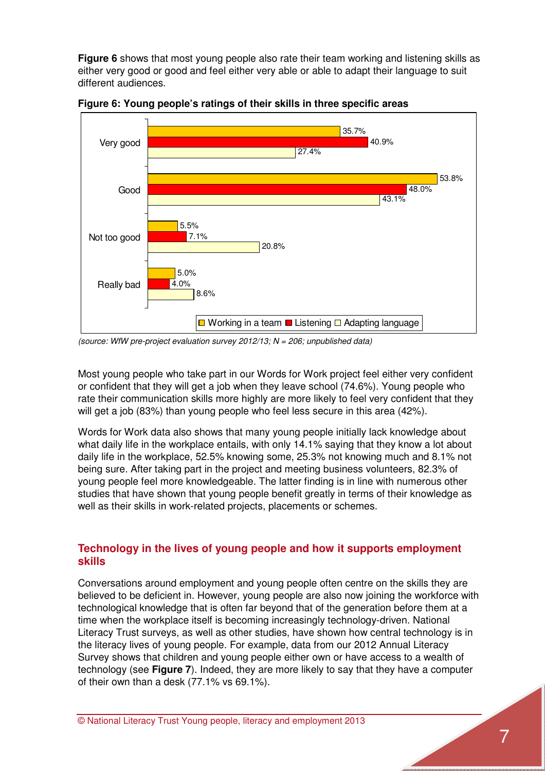**Figure 6** shows that most young people also rate their team working and listening skills as either very good or good and feel either very able or able to adapt their language to suit different audiences.



**Figure 6: Young people's ratings of their skills in three specific areas** 

Most young people who take part in our Words for Work project feel either very confident or confident that they will get a job when they leave school (74.6%). Young people who rate their communication skills more highly are more likely to feel very confident that they will get a job (83%) than young people who feel less secure in this area (42%).

Words for Work data also shows that many young people initially lack knowledge about what daily life in the workplace entails, with only 14.1% saying that they know a lot about daily life in the workplace, 52.5% knowing some, 25.3% not knowing much and 8.1% not being sure. After taking part in the project and meeting business volunteers, 82.3% of young people feel more knowledgeable. The latter finding is in line with numerous other studies that have shown that young people benefit greatly in terms of their knowledge as well as their skills in work-related projects, placements or schemes.

### **Technology in the lives of young people and how it supports employment skills**

Conversations around employment and young people often centre on the skills they are believed to be deficient in. However, young people are also now joining the workforce with technological knowledge that is often far beyond that of the generation before them at a time when the workplace itself is becoming increasingly technology-driven. National Literacy Trust surveys, as well as other studies, have shown how central technology is in the literacy lives of young people. For example, data from our 2012 Annual Literacy Survey shows that children and young people either own or have access to a wealth of technology (see **Figure 7**). Indeed, they are more likely to say that they have a computer of their own than a desk (77.1% vs 69.1%).

*<sup>(</sup>source: WfW pre-project evaluation survey 2012/13; N = 206; unpublished data)*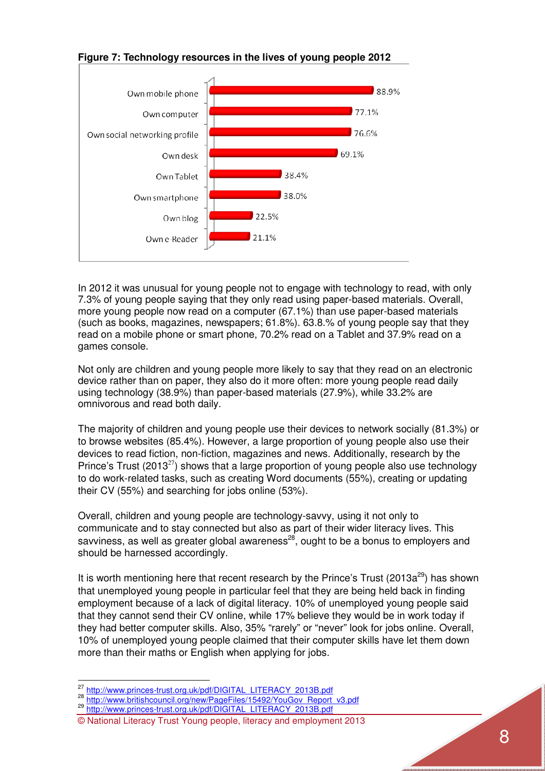

## **Figure 7: Technology resources in the lives of young people 2012**

In 2012 it was unusual for young people not to engage with technology to read, with only 7.3% of young people saying that they only read using paper-based materials. Overall, more young people now read on a computer (67.1%) than use paper-based materials (such as books, magazines, newspapers; 61.8%). 63.8.% of young people say that they read on a mobile phone or smart phone, 70.2% read on a Tablet and 37.9% read on a games console.

Not only are children and young people more likely to say that they read on an electronic device rather than on paper, they also do it more often: more young people read daily using technology (38.9%) than paper-based materials (27.9%), while 33.2% are omnivorous and read both daily.

The majority of children and young people use their devices to network socially (81.3%) or to browse websites (85.4%). However, a large proportion of young people also use their devices to read fiction, non-fiction, magazines and news. Additionally, research by the Prince's Trust (2013<sup>27</sup>) shows that a large proportion of young people also use technology to do work-related tasks, such as creating Word documents (55%), creating or updating their CV (55%) and searching for jobs online (53%).

Overall, children and young people are technology-savvy, using it not only to communicate and to stay connected but also as part of their wider literacy lives. This savviness, as well as greater global awareness<sup>28</sup>, ought to be a bonus to employers and should be harnessed accordingly.

It is worth mentioning here that recent research by the Prince's Trust (2013a<sup>29</sup>) has shown that unemployed young people in particular feel that they are being held back in finding employment because of a lack of digital literacy. 10% of unemployed young people said that they cannot send their CV online, while 17% believe they would be in work today if they had better computer skills. Also, 35% "rarely" or "never" look for jobs online. Overall, 10% of unemployed young people claimed that their computer skills have let them down more than their maths or English when applying for jobs.

l.

<sup>&</sup>lt;sup>27</sup> http://www.princes-trust.org.uk/pdf/DIGITAL\_LITERACY\_2013B.pdf

<sup>&</sup>lt;sup>28</sup> http://www.britishcouncil.org/new/PageFiles/15492/YouGov\_Report\_v3.pdf

<sup>&</sup>lt;sup>29</sup> http://www.princes-trust.org.uk/pdf/DIGITAL\_LITERACY\_2013B.pdf

<sup>©</sup> National Literacy Trust Young people, literacy and employment 2013